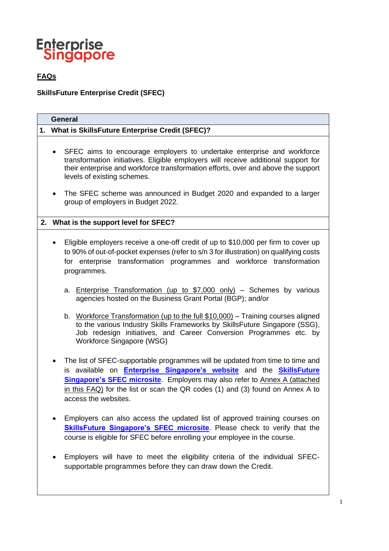

# **FAQs**

**SkillsFuture Enterprise Credit (SFEC)**

| <b>General</b>                                                                                                                                                                                                                                                                                                                                                                                                            |  |  |
|---------------------------------------------------------------------------------------------------------------------------------------------------------------------------------------------------------------------------------------------------------------------------------------------------------------------------------------------------------------------------------------------------------------------------|--|--|
| 1. What is SkillsFuture Enterprise Credit (SFEC)?                                                                                                                                                                                                                                                                                                                                                                         |  |  |
| SFEC aims to encourage employers to undertake enterprise and workforce<br>$\bullet$<br>transformation initiatives. Eligible employers will receive additional support for<br>their enterprise and workforce transformation efforts, over and above the support<br>levels of existing schemes.<br>The SFEC scheme was announced in Budget 2020 and expanded to a larger<br>$\bullet$<br>group of employers in Budget 2022. |  |  |
| 2. What is the support level for SFEC?                                                                                                                                                                                                                                                                                                                                                                                    |  |  |
| Eligible employers receive a one-off credit of up to \$10,000 per firm to cover up<br>$\bullet$<br>to 90% of out-of-pocket expenses (refer to s/n 3 for illustration) on qualifying costs<br>for enterprise transformation programmes and workforce transformation<br>programmes.                                                                                                                                         |  |  |
| a. Enterprise Transformation (up to \$7,000 only) - Schemes by various<br>agencies hosted on the Business Grant Portal (BGP); and/or                                                                                                                                                                                                                                                                                      |  |  |
| b. Workforce Transformation (up to the full \$10,000) - Training courses aligned<br>to the various Industry Skills Frameworks by SkillsFuture Singapore (SSG),<br>Job redesign initiatives, and Career Conversion Programmes etc. by<br>Workforce Singapore (WSG)                                                                                                                                                         |  |  |
| The list of SFEC-supportable programmes will be updated from time to time and<br>is available on <b>Enterprise Singapore's website</b> and the <b>SkillsFuture</b><br><b>Singapore's SFEC microsite.</b> Employers may also refer to Annex A (attached<br>in this FAQ) for the list or scan the QR codes (1) and (3) found on Annex A to<br>access the websites.                                                          |  |  |
| Employers can also access the updated list of approved training courses on<br><b>SkillsFuture Singapore's SFEC microsite</b> . Please check to verify that the<br>course is eligible for SFEC before enrolling your employee in the course.                                                                                                                                                                               |  |  |
| Employers will have to meet the eligibility criteria of the individual SFEC-                                                                                                                                                                                                                                                                                                                                              |  |  |

supportable programmes before they can draw down the Credit.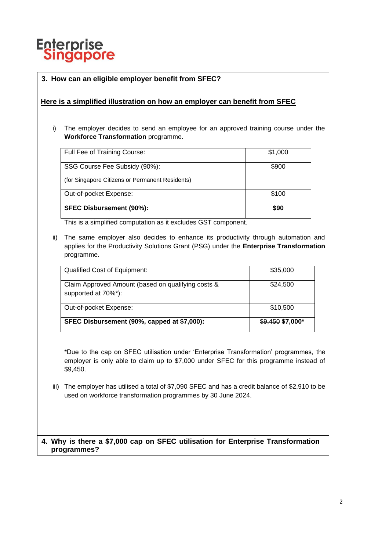

# **3. How can an eligible employer benefit from SFEC?**

### **Here is a simplified illustration on how an employer can benefit from SFEC**

i) The employer decides to send an employee for an approved training course under the **Workforce Transformation** programme.

| Full Fee of Training Course:                    | \$1,000 |
|-------------------------------------------------|---------|
|                                                 |         |
| SSG Course Fee Subsidy (90%):                   | \$900   |
|                                                 |         |
|                                                 |         |
| (for Singapore Citizens or Permanent Residents) |         |
|                                                 |         |
| Out-of-pocket Expense:                          | \$100   |
|                                                 |         |
| <b>SFEC Disbursement (90%):</b>                 | \$90    |
|                                                 |         |
|                                                 |         |

This is a simplified computation as it excludes GST component.

ii) The same employer also decides to enhance its productivity through automation and applies for the Productivity Solutions Grant (PSG) under the **Enterprise Transformation** programme.

| <b>Qualified Cost of Equipment:</b>                                       | \$35,000          |
|---------------------------------------------------------------------------|-------------------|
| Claim Approved Amount (based on qualifying costs &<br>supported at 70%*): | \$24,500          |
| Out-of-pocket Expense:                                                    | \$10,500          |
| SFEC Disbursement (90%, capped at \$7,000):                               | $$9,450$ \$7,000* |

\*Due to the cap on SFEC utilisation under 'Enterprise Transformation' programmes, the employer is only able to claim up to \$7,000 under SFEC for this programme instead of \$9,450.

iii) The employer has utilised a total of \$7,090 SFEC and has a credit balance of \$2,910 to be used on workforce transformation programmes by 30 June 2024.

#### **4. Why is there a \$7,000 cap on SFEC utilisation for Enterprise Transformation programmes?**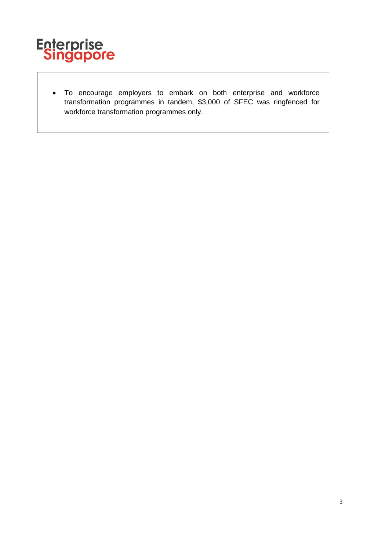

• To encourage employers to embark on both enterprise and workforce transformation programmes in tandem, \$3,000 of SFEC was ringfenced for workforce transformation programmes only.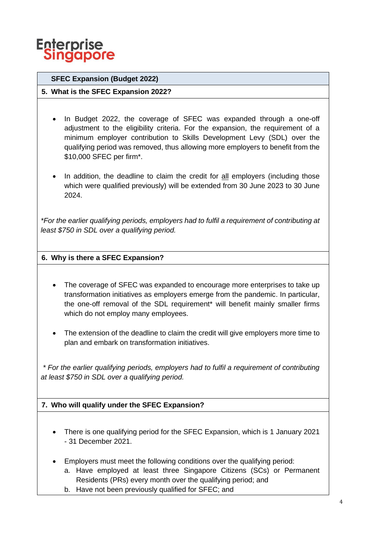

# **SFEC Expansion (Budget 2022)**

# **5. What is the SFEC Expansion 2022?**

- In Budget 2022, the coverage of SFEC was expanded through a one-off adjustment to the eligibility criteria. For the expansion, the requirement of a minimum employer contribution to Skills Development Levy (SDL) over the qualifying period was removed, thus allowing more employers to benefit from the \$10,000 SFEC per firm\*.
- In addition, the deadline to claim the credit for all employers (including those which were qualified previously) will be extended from 30 June 2023 to 30 June 2024.

*\*For the earlier qualifying periods, employers had to fulfil a requirement of contributing at least \$750 in SDL over a qualifying period.*

# **6. Why is there a SFEC Expansion?**

- The coverage of SFEC was expanded to encourage more enterprises to take up transformation initiatives as employers emerge from the pandemic. In particular, the one-off removal of the SDL requirement\* will benefit mainly smaller firms which do not employ many employees.
- The extension of the deadline to claim the credit will give employers more time to plan and embark on transformation initiatives.

*\* For the earlier qualifying periods, employers had to fulfil a requirement of contributing at least \$750 in SDL over a qualifying period.*

# **7. Who will qualify under the SFEC Expansion?**

- There is one qualifying period for the SFEC Expansion, which is 1 January 2021 - 31 December 2021.
- Employers must meet the following conditions over the qualifying period:
	- a. Have employed at least three Singapore Citizens (SCs) or Permanent Residents (PRs) every month over the qualifying period; and
	- b. Have not been previously qualified for SFEC; and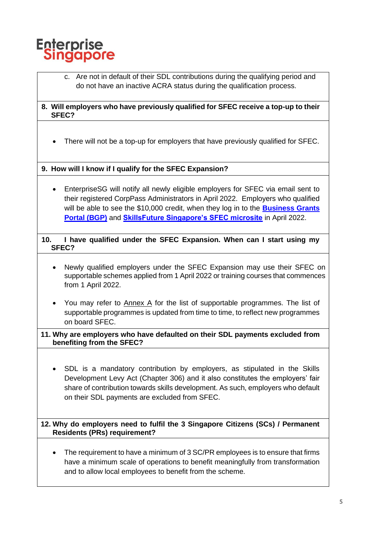

- c. Are not in default of their SDL contributions during the qualifying period and do not have an inactive ACRA status during the qualification process.
- **8. Will employers who have previously qualified for SFEC receive a top-up to their SFEC?**
	- There will not be a top-up for employers that have previously qualified for SFEC.

**9. How will I know if I qualify for the SFEC Expansion?**

- EnterpriseSG will notify all newly eligible employers for SFEC via email sent to their registered CorpPass Administrators in April 2022. Employers who qualified will be able to see the \$10,000 credit, when they log in to the **[Business Grants](https://www.businessgrants.gov.sg/)  [Portal \(BGP\)](https://www.businessgrants.gov.sg/)** and **[SkillsFuture Singapore's SFEC microsite](https://sfec-microsite.enterprisejobskills.gov.sg/home)** in April 2022.
- **10. I have qualified under the SFEC Expansion. When can I start using my SFEC?**
	- Newly qualified employers under the SFEC Expansion may use their SFEC on supportable schemes applied from 1 April 2022 or training courses that commences from 1 April 2022.
	- You may refer to Annex A for the list of supportable programmes. The list of supportable programmes is updated from time to time, to reflect new programmes on board SFEC.
- **11. Why are employers who have defaulted on their SDL payments excluded from benefiting from the SFEC?**
	- SDL is a mandatory contribution by employers, as stipulated in the Skills Development Levy Act (Chapter 306) and it also constitutes the employers' fair share of contribution towards skills development. As such, employers who default on their SDL payments are excluded from SFEC.

**12. Why do employers need to fulfil the 3 Singapore Citizens (SCs) / Permanent Residents (PRs) requirement?**

The requirement to have a minimum of 3 SC/PR employees is to ensure that firms have a minimum scale of operations to benefit meaningfully from transformation and to allow local employees to benefit from the scheme.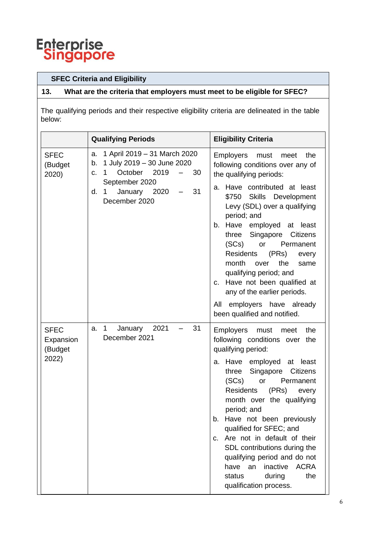

# **SFEC Criteria and Eligibility**

# **13. What are the criteria that employers must meet to be eligible for SFEC?**

The qualifying periods and their respective eligibility criteria are delineated in the table below:

|                                     | <b>Qualifying Periods</b>                                                                                         | <b>Eligibility Criteria</b>                                                                                                                                                                                                                                                                                                                                                                                                                      |
|-------------------------------------|-------------------------------------------------------------------------------------------------------------------|--------------------------------------------------------------------------------------------------------------------------------------------------------------------------------------------------------------------------------------------------------------------------------------------------------------------------------------------------------------------------------------------------------------------------------------------------|
| <b>SFEC</b><br>(Budget<br>2020)     | a. 1 April 2019 - 31 March 2020<br>1 July 2019 - 30 June 2020<br>b.<br>October<br>2019<br>30<br>$\mathbf 1$<br>c. | <b>Employers</b><br>the<br>must<br>meet<br>following conditions over any of<br>the qualifying periods:                                                                                                                                                                                                                                                                                                                                           |
|                                     | September 2020<br>January 2020<br>31<br>d.<br>$\mathbf 1$<br>December 2020                                        | Have contributed at least<br>а.<br>\$750 Skills Development<br>Levy (SDL) over a qualifying<br>period; and<br>Have employed at least<br>b.<br>Singapore Citizens<br>three<br>(SCs)<br>Permanent<br>or<br><b>Residents</b><br>(PRs)<br>every<br>month<br>the<br>over<br>same<br>qualifying period; and<br>c. Have not been qualified at<br>any of the earlier periods.<br>employers have already<br>All<br>been qualified and notified.           |
| <b>SFEC</b><br>Expansion<br>(Budget | $\mathbf{1}$<br>2021<br>31<br>January<br>a.<br>December 2021                                                      | <b>Employers</b><br>the<br>must<br>meet<br>following conditions over the<br>qualifying period:                                                                                                                                                                                                                                                                                                                                                   |
| 2022)                               |                                                                                                                   | a. Have employed at least<br>Singapore<br><b>Citizens</b><br>three<br>(SCs)<br>or<br>Permanent<br>(PRs)<br><b>Residents</b><br>every<br>month over the qualifying<br>period; and<br>Have not been previously<br>b.<br>qualified for SFEC; and<br>Are not in default of their<br>C.<br>SDL contributions during the<br>qualifying period and do not<br>inactive<br><b>ACRA</b><br>have<br>an<br>the<br>during<br>status<br>qualification process. |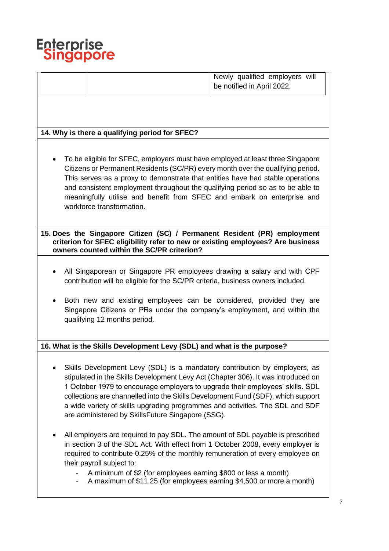

Newly qualified employers will be notified in April 2022.

# **14. Why is there a qualifying period for SFEC?**

• To be eligible for SFEC, employers must have employed at least three Singapore Citizens or Permanent Residents (SC/PR) every month over the qualifying period. This serves as a proxy to demonstrate that entities have had stable operations and consistent employment throughout the qualifying period so as to be able to meaningfully utilise and benefit from SFEC and embark on enterprise and workforce transformation.

**15. Does the Singapore Citizen (SC) / Permanent Resident (PR) employment criterion for SFEC eligibility refer to new or existing employees? Are business owners counted within the SC/PR criterion?**

- All Singaporean or Singapore PR employees drawing a salary and with CPF contribution will be eligible for the SC/PR criteria, business owners included.
- Both new and existing employees can be considered, provided they are Singapore Citizens or PRs under the company's employment, and within the qualifying 12 months period.

# **16. What is the Skills Development Levy (SDL) and what is the purpose?**

- Skills Development Levy (SDL) is a mandatory contribution by employers, as stipulated in the Skills Development Levy Act (Chapter 306). It was introduced on 1 October 1979 to encourage employers to upgrade their employees' skills. SDL collections are channelled into the Skills Development Fund (SDF), which support a wide variety of skills upgrading programmes and activities. The SDL and SDF are administered by SkillsFuture Singapore (SSG).
- All employers are required to pay SDL. The amount of SDL payable is prescribed in section 3 of the SDL Act. With effect from 1 October 2008, every employer is required to contribute 0.25% of the monthly remuneration of every employee on their payroll subject to:
	- A minimum of \$2 (for employees earning \$800 or less a month)
	- A maximum of \$11.25 (for employees earning \$4,500 or more a month)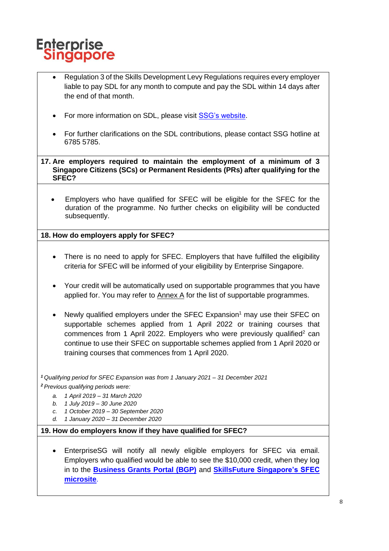

- Regulation 3 of the Skills Development Levy Regulations requires every employer liable to pay SDL for any month to compute and pay the SDL within 14 days after the end of that month.
- For more information on SDL, please visit [SSG's website.](https://sdl.ssg.gov.sg/)
- For further clarifications on the SDL contributions, please contact SSG hotline at 6785 5785.

**17. Are employers required to maintain the employment of a minimum of 3 Singapore Citizens (SCs) or Permanent Residents (PRs) after qualifying for the SFEC?**

• Employers who have qualified for SFEC will be eligible for the SFEC for the duration of the programme. No further checks on eligibility will be conducted subsequently.

**18. How do employers apply for SFEC?**

- There is no need to apply for SFEC. Employers that have fulfilled the eligibility criteria for SFEC will be informed of your eligibility by Enterprise Singapore.
- Your credit will be automatically used on supportable programmes that you have applied for. You may refer to Annex A for the list of supportable programmes.
- Newly qualified employers under the SFEC Expansion<sup>1</sup> may use their SFEC on supportable schemes applied from 1 April 2022 or training courses that commences from 1 April 2022. Employers who were previously qualified<sup>2</sup> can continue to use their SFEC on supportable schemes applied from 1 April 2020 or training courses that commences from 1 April 2020.

*<sup>1</sup>Qualifying period for SFEC Expansion was from 1 January 2021 – 31 December 2021*

*<sup>2</sup>Previous qualifying periods were:* 

- *a. 1 April 2019 – 31 March 2020*
- *b. 1 July 2019 – 30 June 2020*
- *c. 1 October 2019 – 30 September 2020*
- *d. 1 January 2020 – 31 December 2020*

#### **19. How do employers know if they have qualified for SFEC?**

• EnterpriseSG will notify all newly eligible employers for SFEC via email. Employers who qualified would be able to see the \$10,000 credit, when they log in to the **[Business Grants Portal \(BGP\)](https://www.businessgrants.gov.sg/)** and **[SkillsFuture Singapore's SFEC](https://sfec-microsite.enterprisejobskills.gov.sg/home)  [microsite](https://sfec-microsite.enterprisejobskills.gov.sg/home)**.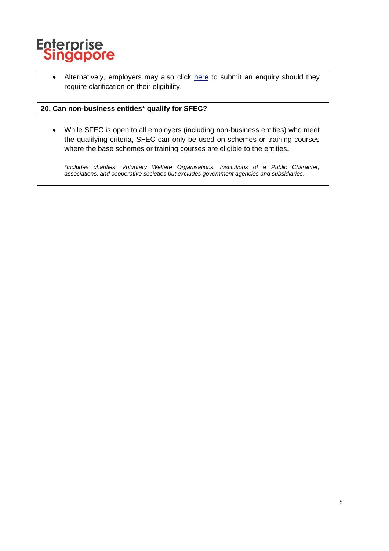

• Alternatively, employers may also click [here](https://go.gov.sg/helloesg) to submit an enquiry should they require clarification on their eligibility.

# **20. Can non-business entities\* qualify for SFEC?**

• While SFEC is open to all employers (including non-business entities) who meet the qualifying criteria, SFEC can only be used on schemes or training courses where the base schemes or training courses are eligible to the entities**.**

*\*Includes charities, Voluntary Welfare Organisations, Institutions of a Public Character, associations, and cooperative societies but excludes government agencies and subsidiaries.*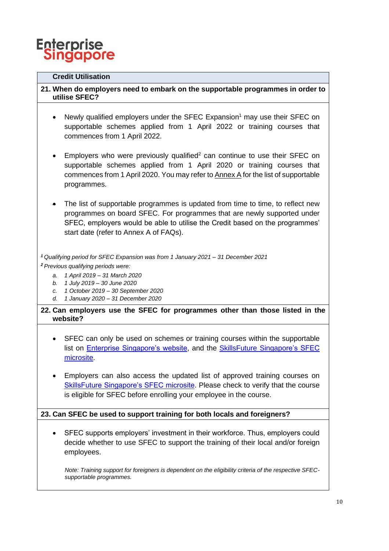# **Enterprise Singapore**

# **Credit Utilisation**

# **21. When do employers need to embark on the supportable programmes in order to utilise SFEC?**

- Newly qualified employers under the SFEC Expansion<sup>1</sup> may use their SFEC on supportable schemes applied from 1 April 2022 or training courses that commences from 1 April 2022.
- Employers who were previously qualified<sup>2</sup> can continue to use their SFEC on supportable schemes applied from 1 April 2020 or training courses that commences from 1 April 2020. You may refer to Annex A for the list of supportable programmes.
- The list of supportable programmes is updated from time to time, to reflect new programmes on board SFEC. For programmes that are newly supported under SFEC, employers would be able to utilise the Credit based on the programmes' start date (refer to Annex A of FAQs).

*<sup>1</sup>Qualifying period for SFEC Expansion was from 1 January 2021 – 31 December 2021*

*<sup>2</sup>Previous qualifying periods were:* 

- *a. 1 April 2019 – 31 March 2020*
- *b. 1 July 2019 – 30 June 2020*
- *c. 1 October 2019 – 30 September 2020*
- *d. 1 January 2020 – 31 December 2020*
- **22. Can employers use the SFEC for programmes other than those listed in the website?**
	- SFEC can only be used on schemes or training courses within the supportable list on [Enterprise Singapore's website,](https://www.enterprisesg.gov.sg/financial-assistance/grants/for-local-companies/skillsfuture-enterprise-credit) and the [SkillsFuture Singapore's SFEC](https://sfec-microsite.enterprisejobskills.gov.sg/SFEC)  [microsite.](https://sfec-microsite.enterprisejobskills.gov.sg/SFEC)
	- Employers can also access the updated list of approved training courses on [SkillsFuture Singapore's SFEC microsite.](https://sfec-microsite.enterprisejobskills.gov.sg/courses) Please check to verify that the course is eligible for SFEC before enrolling your employee in the course.

# **23. Can SFEC be used to support training for both locals and foreigners?**

• SFEC supports employers' investment in their workforce. Thus, employers could decide whether to use SFEC to support the training of their local and/or foreign employees.

*Note: Training support for foreigners is dependent on the eligibility criteria of the respective SFECsupportable programmes.*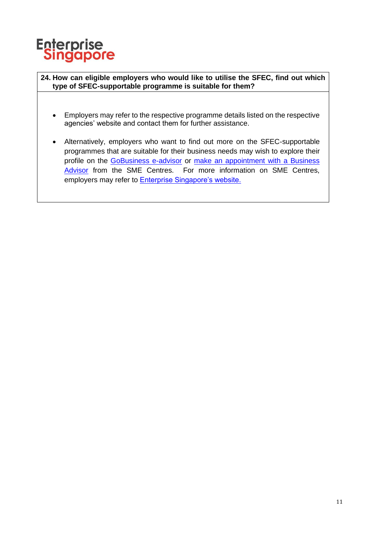

**24. How can eligible employers who would like to utilise the SFEC, find out which type of SFEC-supportable programme is suitable for them?** 

- Employers may refer to the respective programme details listed on the respective agencies' website and contact them for further assistance.
- Alternatively, employers who want to find out more on the SFEC-supportable programmes that are suitable for their business needs may wish to explore their profile on the [GoBusiness e-advisor](https://gaeadviser.gobusiness.gov.sg/) or make an appointment with a Business [Advisor](https://partnersengage.enterprisesg.gov.sg/book-appointment) from the SME Centres. For more information on SME Centres, employers may refer to **Enterprise Singapore's website.**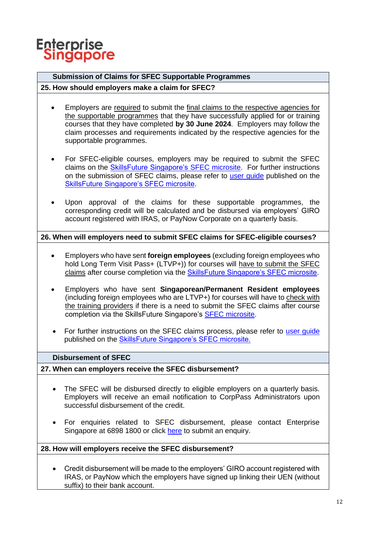

# **Submission of Claims for SFEC Supportable Programmes**

### **25. How should employers make a claim for SFEC?**

- Employers are required to submit the final claims to the respective agencies for the supportable programmes that they have successfully applied for or training courses that they have completed **by 30 June 2024**. Employers may follow the claim processes and requirements indicated by the respective agencies for the supportable programmes.
- For SFEC-eligible courses, employers may be required to submit the SFEC claims on the [SkillsFuture Singapore's](https://sfec-microsite.enterprisejobskills.gov.sg/home) SFEC microsite. For further instructions on the submission of SFEC claims, please refer to [user guide](https://sfec-microsite.enterprisejobskills.gov.sg/sfec-user-claim-guide) published on the [SkillsFuture Singapore's SFEC microsite.](https://sfec-microsite.enterprisejobskills.gov.sg/home/)
- Upon approval of the claims for these supportable programmes, the corresponding credit will be calculated and be disbursed via employers' GIRO account registered with IRAS, or PayNow Corporate on a quarterly basis.

# **26. When will employers need to submit SFEC claims for SFEC-eligible courses?**

- Employers who have sent **foreign employees** (excluding foreign employees who hold Long Term Visit Pass+ (LTVP+)) for courses will have to submit the SFEC claims after course completion via the [SkillsFuture Singapore's SFEC microsite.](https://sfec-microsite.enterprisejobskills.gov.sg/home)
- Employers who have sent **Singaporean/Permanent Resident employees** (including foreign employees who are LTVP+) for courses will have to check with the training providers if there is a need to submit the SFEC claims after course completion via the SkillsFuture Singapore's [SFEC microsite.](https://sfec-microsite.enterprisejobskills.gov.sg/home)
- For further instructions on the SFEC claims process, please refer to [user guide](https://sfec-microsite.enterprisejobskills.gov.sg/sfec-user-claim-guide) published on the [SkillsFuture Singapore's SFEC microsite.](https://sfec-microsite.enterprisejobskills.gov.sg/home)

#### **Disbursement of SFEC**

# **27. When can employers receive the SFEC disbursement?**

- The SFEC will be disbursed directly to eligible employers on a quarterly basis. Employers will receive an email notification to CorpPass Administrators upon successful disbursement of the credit.
- For enquiries related to SFEC disbursement, please contact Enterprise Singapore at 6898 1800 or click [here](go.gov.sg/askenterprisesg) to submit an enquiry.

#### **28. How will employers receive the SFEC disbursement?**

• Credit disbursement will be made to the employers' GIRO account registered with IRAS, or PayNow which the employers have signed up linking their UEN (without suffix) to their bank account.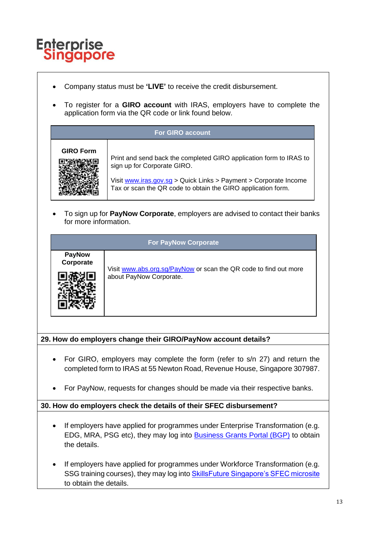

- Company status must be **'LIVE'** to receive the credit disbursement.
- To register for a **GIRO account** with IRAS, employers have to complete the application form via the QR code or link found below.

| <b>For GIRO account</b> |                                                                                                                                                                                                                                       |  |  |
|-------------------------|---------------------------------------------------------------------------------------------------------------------------------------------------------------------------------------------------------------------------------------|--|--|
| <b>GIRO Form</b>        | Print and send back the completed GIRO application form to IRAS to<br>sign up for Corporate GIRO.<br>Visit www.iras.gov.sg > Quick Links > Payment > Corporate Income<br>Tax or scan the QR code to obtain the GIRO application form. |  |  |

• To sign up for **PayNow Corporate**, employers are advised to contact their banks for more information.

| <b>For PayNow Corporate</b> |                                                                                             |  |  |
|-----------------------------|---------------------------------------------------------------------------------------------|--|--|
| <b>PayNow</b><br>Corporate  |                                                                                             |  |  |
|                             | Visit www.abs.org.sg/PayNow or scan the QR code to find out more<br>about PayNow Corporate. |  |  |

# **29. How do employers change their GIRO/PayNow account details?**

- For GIRO, employers may complete the form (refer to s/n 27) and return the completed form to IRAS at 55 Newton Road, Revenue House, Singapore 307987.
- For PayNow, requests for changes should be made via their respective banks.

# **30. How do employers check the details of their SFEC disbursement?**

- If employers have applied for programmes under Enterprise Transformation (e.g. EDG, MRA, PSG etc), they may log into [Business Grants Portal \(BGP\)](https://www.businessgrants.gov.sg/) to obtain the details.
- If employers have applied for programmes under Workforce Transformation (e.g. SSG training courses), they may log into **SkillsFuture Singapore's SFEC microsite** to obtain the details.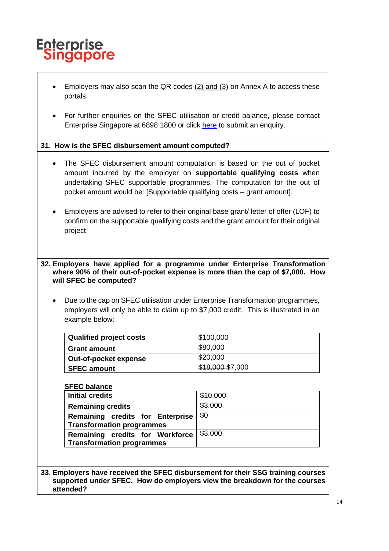

- Employers may also scan the QR codes (2) and (3) on Annex A to access these portals.
- For further enquiries on the SFEC utilisation or credit balance, please contact Enterprise Singapore at 6898 1800 or click [here](go.gov.sg/askenterprisesg) to submit an enquiry.

# **31. How is the SFEC disbursement amount computed?**

- The SFEC disbursement amount computation is based on the out of pocket amount incurred by the employer on **supportable qualifying costs** when undertaking SFEC supportable programmes. The computation for the out of pocket amount would be: [Supportable qualifying costs – grant amount].
- Employers are advised to refer to their original base grant/ letter of offer (LOF) to confirm on the supportable qualifying costs and the grant amount for their original project.

**32. Employers have applied for a programme under Enterprise Transformation where 90% of their out-of-pocket expense is more than the cap of \$7,000. How will SFEC be computed?**

• Due to the cap on SFEC utilisation under Enterprise Transformation programmes, employers will only be able to claim up to \$7,000 credit. This is illustrated in an example below:

| <b>Qualified project costs</b> | \$100,000        |
|--------------------------------|------------------|
| <b>Grant amount</b>            | \$80,000         |
| Out-of-pocket expense          | \$20,000         |
| <b>SFEC amount</b>             | \$18,000 \$7,000 |

#### **SFEC balance**

| <b>Initial credits</b>           | \$10,000 |
|----------------------------------|----------|
| <b>Remaining credits</b>         | \$3,000  |
| Remaining credits for Enterprise | \$0      |
| <b>Transformation programmes</b> |          |
| Remaining credits for Workforce  | \$3,000  |
| Transformation programmes        |          |

**33. Employers have received the SFEC disbursement for their SSG training courses supported under SFEC. How do employers view the breakdown for the courses attended?**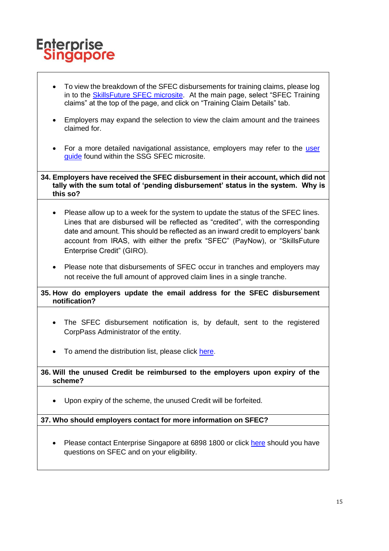# **Enterprise Singapore**

- To view the breakdown of the SFEC disbursements for training claims, please log in to the [SkillsFuture SFEC microsite.](https://sfec-microsite.enterprisejobskills.gov.sg/home)At the main page, select "SFEC Training claims" at the top of the page, and click on "Training Claim Details" tab.
- Employers may expand the selection to view the claim amount and the trainees claimed for.
- For a more detailed navigational assistance, employers may refer to the [user](https://sfec-microsite.enterprisejobskills.gov.sg/sfec-user-claim-guide) [guide](https://sfec-microsite.enterprisejobskills.gov.sg/sfec-user-claim-guide) found within the SSG SFEC microsite.
- **34. Employers have received the SFEC disbursement in their account, which did not tally with the sum total of 'pending disbursement' status in the system. Why is this so?** 
	- Please allow up to a week for the system to update the status of the SFEC lines. Lines that are disbursed will be reflected as "credited", with the corresponding date and amount. This should be reflected as an inward credit to employers' bank account from IRAS, with either the prefix "SFEC" (PayNow), or "SkillsFuture Enterprise Credit" (GIRO).
	- Please note that disbursements of SFEC occur in tranches and employers may not receive the full amount of approved claim lines in a single tranche.

# **35. How do employers update the email address for the SFEC disbursement notification?**

- The SFEC disbursement notification is, by default, sent to the registered CorpPass Administrator of the entity.
- To amend the distribution list, please click [here.](https://go.gov.sg/sfecnotifications)

# **36. Will the unused Credit be reimbursed to the employers upon expiry of the scheme?**

Upon expiry of the scheme, the unused Credit will be forfeited.

# **37. Who should employers contact for more information on SFEC?**

• Please contact Enterprise Singapore at 6898 1800 or click [here](go.gov.sg/askenterprisesg) should you have questions on SFEC and on your eligibility.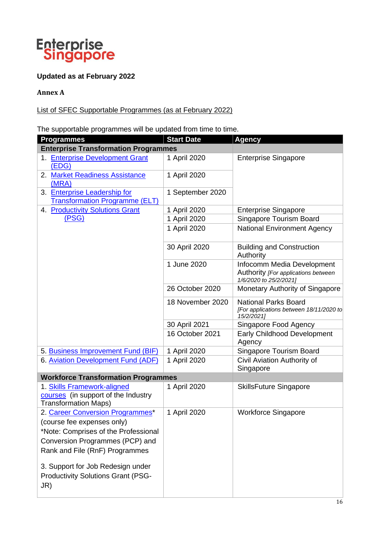

# **Updated as at February 2022**

# **Annex A**

# List of SFEC Supportable Programmes (as at February 2022)

The supportable programmes will be updated from time to time.

| - 1 - - 2 - <del>- - - - - - -</del><br><b>Programmes</b>                                         | <b>Start Date</b> | <b>Agency</b>                                                                               |
|---------------------------------------------------------------------------------------------------|-------------------|---------------------------------------------------------------------------------------------|
| <b>Enterprise Transformation Programmes</b>                                                       |                   |                                                                                             |
| 1. Enterprise Development Grant                                                                   | 1 April 2020      | <b>Enterprise Singapore</b>                                                                 |
| (EDG)                                                                                             |                   |                                                                                             |
| 2. Market Readiness Assistance                                                                    | 1 April 2020      |                                                                                             |
| (MRA)                                                                                             |                   |                                                                                             |
| 3. Enterprise Leadership for                                                                      | 1 September 2020  |                                                                                             |
| <b>Transformation Programme (ELT)</b>                                                             |                   |                                                                                             |
| 4. Productivity Solutions Grant                                                                   | 1 April 2020      | <b>Enterprise Singapore</b>                                                                 |
| (PSG)                                                                                             | 1 April 2020      | Singapore Tourism Board                                                                     |
|                                                                                                   | 1 April 2020      | <b>National Environment Agency</b>                                                          |
|                                                                                                   | 30 April 2020     | <b>Building and Construction</b><br>Authority                                               |
|                                                                                                   | 1 June 2020       | Infocomm Media Development<br>Authority [For applications between<br>1/6/2020 to 25/2/2021] |
|                                                                                                   | 26 October 2020   | Monetary Authority of Singapore                                                             |
|                                                                                                   | 18 November 2020  | <b>National Parks Board</b><br>[For applications between 18/11/2020 to<br>15/2/2021]        |
|                                                                                                   | 30 April 2021     | Singapore Food Agency                                                                       |
|                                                                                                   | 16 October 2021   | <b>Early Childhood Development</b><br>Agency                                                |
| 5. Business Improvement Fund (BIF)                                                                | 1 April 2020      | Singapore Tourism Board                                                                     |
| 6. Aviation Development Fund (ADF)                                                                | 1 April 2020      | Civil Aviation Authority of<br>Singapore                                                    |
| <b>Workforce Transformation Programmes</b>                                                        |                   |                                                                                             |
| 1. Skills Framework-aligned<br>courses (in support of the Industry<br><b>Transformation Maps)</b> | 1 April 2020      | <b>SkillsFuture Singapore</b>                                                               |
| 2. Career Conversion Programmes*                                                                  | 1 April 2020      | <b>Workforce Singapore</b>                                                                  |
| (course fee expenses only)                                                                        |                   |                                                                                             |
| *Note: Comprises of the Professional                                                              |                   |                                                                                             |
| Conversion Programmes (PCP) and                                                                   |                   |                                                                                             |
| Rank and File (RnF) Programmes                                                                    |                   |                                                                                             |
| 3. Support for Job Redesign under<br><b>Productivity Solutions Grant (PSG-</b><br>JR)             |                   |                                                                                             |